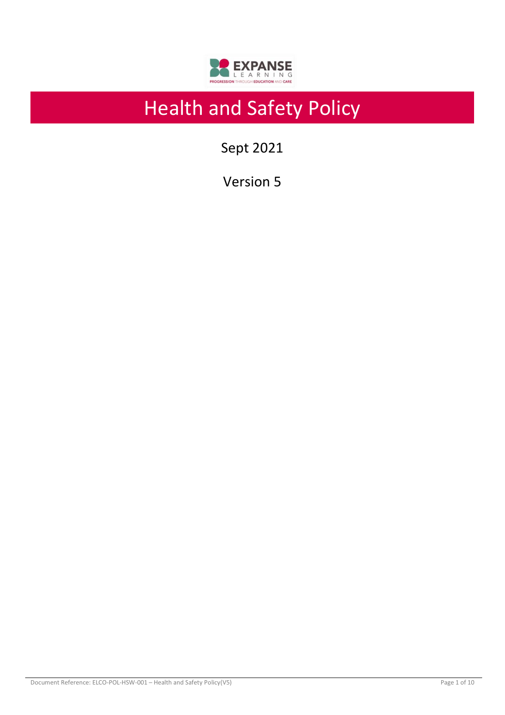

# Health and Safety Policy

Sept 2021

Version 5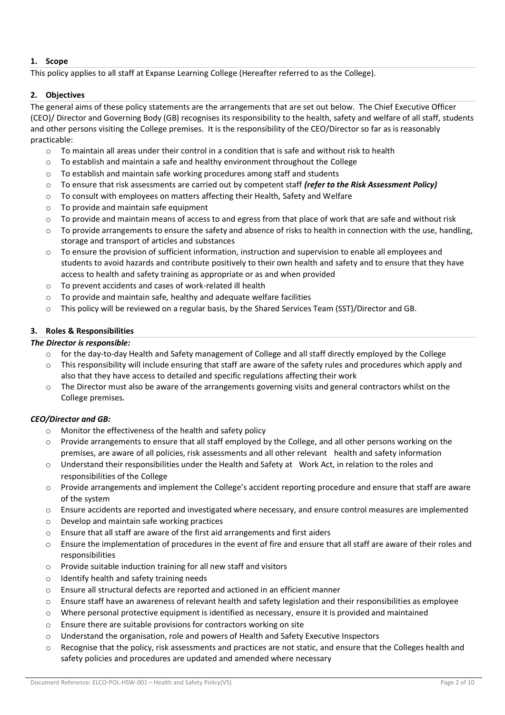# **1. Scope**

This policy applies to all staff at Expanse Learning College (Hereafter referred to as the College).

#### **2. Objectives**

The general aims of these policy statements are the arrangements that are set out below. The Chief Executive Officer (CEO)/ Director and Governing Body (GB) recognises its responsibility to the health, safety and welfare of all staff, students and other persons visiting the College premises. It is the responsibility of the CEO/Director so far as is reasonably practicable:

- $\circ$  To maintain all areas under their control in a condition that is safe and without risk to health
- $\circ$  To establish and maintain a safe and healthy environment throughout the College
- $\circ$  To establish and maintain safe working procedures among staff and students
- o To ensure that risk assessments are carried out by competent staff *(refer to the Risk Assessment Policy)*
- o To consult with employees on matters affecting their Health, Safety and Welfare
- o To provide and maintain safe equipment
- $\circ$  To provide and maintain means of access to and egress from that place of work that are safe and without risk
- o To provide arrangements to ensure the safety and absence of risks to health in connection with the use, handling, storage and transport of articles and substances
- o To ensure the provision of sufficient information, instruction and supervision to enable all employees and students to avoid hazards and contribute positively to their own health and safety and to ensure that they have access to health and safety training as appropriate or as and when provided
- o To prevent accidents and cases of work-related ill health
- $\circ$  To provide and maintain safe, healthy and adequate welfare facilities
- o This policy will be reviewed on a regular basis, by the Shared Services Team (SST)/Director and GB.

#### **3. Roles & Responsibilities**

#### *The Director is responsible:*

- o for the day-to-day Health and Safety management of College and all staff directly employed by the College
- o This responsibility will include ensuring that staff are aware of the safety rules and procedures which apply and also that they have access to detailed and specific regulations affecting their work
- o The Director must also be aware of the arrangements governing visits and general contractors whilst on the College premises.

#### *CEO/Director and GB:*

- o Monitor the effectiveness of the health and safety policy
- $\circ$  Provide arrangements to ensure that all staff employed by the College, and all other persons working on the premises, are aware of all policies, risk assessments and all other relevant health and safety information
- $\circ$  Understand their responsibilities under the Health and Safety at Work Act, in relation to the roles and responsibilities of the College
- o Provide arrangements and implement the College's accident reporting procedure and ensure that staff are aware of the system
- o Ensure accidents are reported and investigated where necessary, and ensure control measures are implemented
- o Develop and maintain safe working practices
- $\circ$  Ensure that all staff are aware of the first aid arrangements and first aiders
- $\circ$  Ensure the implementation of procedures in the event of fire and ensure that all staff are aware of their roles and responsibilities
- o Provide suitable induction training for all new staff and visitors
- o Identify health and safety training needs
- o Ensure all structural defects are reported and actioned in an efficient manner
- $\circ$  Ensure staff have an awareness of relevant health and safety legislation and their responsibilities as employee
- o Where personal protective equipment is identified as necessary, ensure it is provided and maintained
- o Ensure there are suitable provisions for contractors working on site
- o Understand the organisation, role and powers of Health and Safety Executive Inspectors
- $\circ$  Recognise that the policy, risk assessments and practices are not static, and ensure that the Colleges health and safety policies and procedures are updated and amended where necessary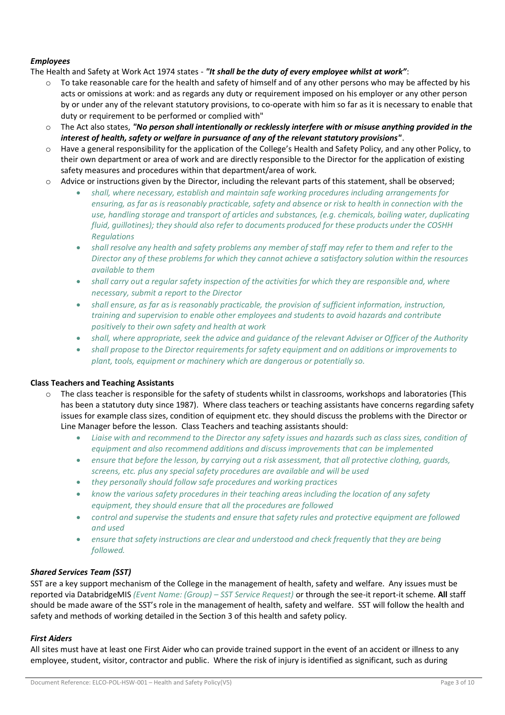# *Employees*

The Health and Safety at Work Act 1974 states - *"It shall be the duty of every employee whilst at work"*:

- To take reasonable care for the health and safety of himself and of any other persons who may be affected by his acts or omissions at work: and as regards any duty or requirement imposed on his employer or any other person by or under any of the relevant statutory provisions, to co-operate with him so far as it is necessary to enable that duty or requirement to be performed or complied with"
- o The Act also states, *"No person shall intentionally or recklessly interfere with or misuse anything provided in the interest of health, safety or welfare in pursuance of any of the relevant statutory provisions"*.
- o Have a general responsibility for the application of the College's Health and Safety Policy, and any other Policy, to their own department or area of work and are directly responsible to the Director for the application of existing safety measures and procedures within that department/area of work.
- $\circ$  Advice or instructions given by the Director, including the relevant parts of this statement, shall be observed;
	- *shall, where necessary, establish and maintain safe working procedures including arrangements for ensuring, as far as is reasonably practicable, safety and absence or risk to health in connection with the use, handling storage and transport of articles and substances, (e.g. chemicals, boiling water, duplicating fluid, guillotines); they should also refer to documents produced for these products under the COSHH Regulations*
	- *shall resolve any health and safety problems any member of staff may refer to them and refer to the Director any of these problems for which they cannot achieve a satisfactory solution within the resources available to them*
	- *shall carry out a regular safety inspection of the activities for which they are responsible and, where necessary, submit a report to the Director*
	- *shall ensure, as far as is reasonably practicable, the provision of sufficient information, instruction, training and supervision to enable other employees and students to avoid hazards and contribute positively to their own safety and health at work*
	- *shall, where appropriate, seek the advice and guidance of the relevant Adviser or Officer of the Authority*
	- *shall propose to the Director requirements for safety equipment and on additions or improvements to plant, tools, equipment or machinery which are dangerous or potentially so.*

#### **Class Teachers and Teaching Assistants**

- o The class teacher is responsible for the safety of students whilst in classrooms, workshops and laboratories (This has been a statutory duty since 1987). Where class teachers or teaching assistants have concerns regarding safety issues for example class sizes, condition of equipment etc. they should discuss the problems with the Director or Line Manager before the lesson. Class Teachers and teaching assistants should:
	- *Liaise with and recommend to the Director any safety issues and hazards such as class sizes, condition of equipment and also recommend additions and discuss improvements that can be implemented*
	- *ensure that before the lesson, by carrying out a risk assessment, that all protective clothing, guards, screens, etc. plus any special safety procedures are available and will be used*
	- *they personally should follow safe procedures and working practices*
	- *know the various safety procedures in their teaching areas including the location of any safety equipment, they should ensure that all the procedures are followed*
	- *control and supervise the students and ensure that safety rules and protective equipment are followed and used*
	- *ensure that safety instructions are clear and understood and check frequently that they are being followed.*

#### *Shared Services Team (SST)*

SST are a key support mechanism of the College in the management of health, safety and welfare. Any issues must be reported via DatabridgeMIS *(Event Name: (Group) – SST Service Request)* or through the see-it report-it scheme. **All** staff should be made aware of the SST's role in the management of health, safety and welfare. SST will follow the health and safety and methods of working detailed in the Section 3 of this health and safety policy.

#### *First Aiders*

All sites must have at least one First Aider who can provide trained support in the event of an accident or illness to any employee, student, visitor, contractor and public. Where the risk of injury is identified as significant, such as during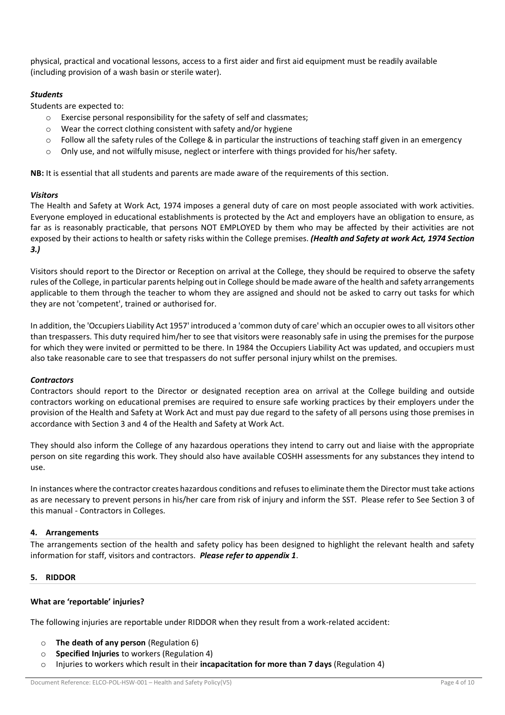physical, practical and vocational lessons, access to a first aider and first aid equipment must be readily available (including provision of a wash basin or sterile water).

#### *Students*

Students are expected to:

- o Exercise personal responsibility for the safety of self and classmates;
- o Wear the correct clothing consistent with safety and/or hygiene
- $\circ$  Follow all the safety rules of the College & in particular the instructions of teaching staff given in an emergency
- o Only use, and not wilfully misuse, neglect or interfere with things provided for his/her safety.

**NB:** It is essential that all students and parents are made aware of the requirements of this section.

# *Visitors*

The Health and Safety at Work Act, 1974 imposes a general duty of care on most people associated with work activities. Everyone employed in educational establishments is protected by the Act and employers have an obligation to ensure, as far as is reasonably practicable, that persons NOT EMPLOYED by them who may be affected by their activities are not exposed by their actions to health or safety risks within the College premises. *(Health and Safety at work Act, 1974 Section 3.)* 

Visitors should report to the Director or Reception on arrival at the College, they should be required to observe the safety rules of the College, in particular parents helping out in College should be made aware of the health and safety arrangements applicable to them through the teacher to whom they are assigned and should not be asked to carry out tasks for which they are not 'competent', trained or authorised for.

In addition, the 'Occupiers Liability Act 1957' introduced a 'common duty of care' which an occupier owes to all visitors other than trespassers. This duty required him/her to see that visitors were reasonably safe in using the premises for the purpose for which they were invited or permitted to be there. In 1984 the Occupiers Liability Act was updated, and occupiers must also take reasonable care to see that trespassers do not suffer personal injury whilst on the premises.

#### *Contractors*

Contractors should report to the Director or designated reception area on arrival at the College building and outside contractors working on educational premises are required to ensure safe working practices by their employers under the provision of the Health and Safety at Work Act and must pay due regard to the safety of all persons using those premises in accordance with Section 3 and 4 of the Health and Safety at Work Act.

They should also inform the College of any hazardous operations they intend to carry out and liaise with the appropriate person on site regarding this work. They should also have available COSHH assessments for any substances they intend to use.

In instances where the contractor creates hazardous conditions and refuses to eliminate them the Directormust take actions as are necessary to prevent persons in his/her care from risk of injury and inform the SST. Please refer to See Section 3 of this manual - Contractors in Colleges.

#### **4. Arrangements**

The arrangements section of the health and safety policy has been designed to highlight the relevant health and safety information for staff, visitors and contractors. *Please refer to appendix 1*.

#### **5. RIDDOR**

#### **What are 'reportable' injuries?**

The following injuries are reportable under RIDDOR when they result from a work-related accident:

- o **The death of any person** (Regulation 6)
- o **Specified Injuries** to workers (Regulation 4)
- o Injuries to workers which result in their **incapacitation for more than 7 days** (Regulation 4)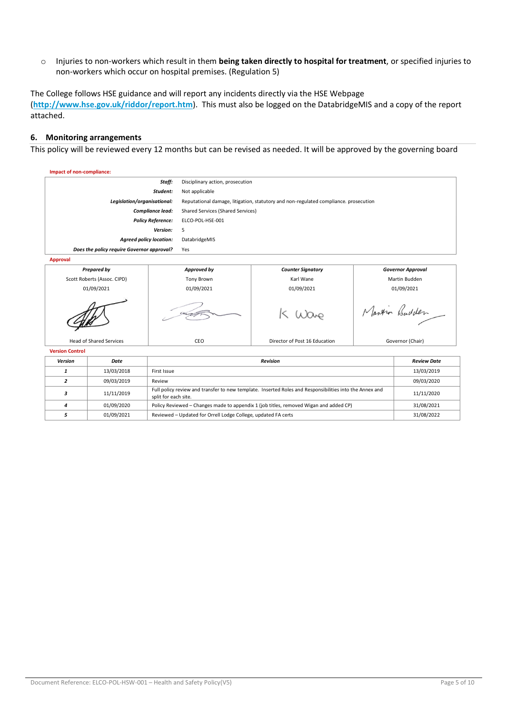o Injuries to non-workers which result in them **being taken directly to hospital for treatment**, or specified injuries to non-workers which occur on hospital premises. (Regulation 5)

The College follows HSE guidance and will report any incidents directly via the HSE Webpage (**<http://www.hse.gov.uk/riddor/report.htm>**). This must also be logged on the DatabridgeMIS and a copy of the report attached.

#### **6. Monitoring arrangements**

This policy will be reviewed every 12 months but can be revised as needed. It will be approved by the governing board



| Version | Date       | <b>Revision</b>                                                                                                                 | <b>Review Date</b> |
|---------|------------|---------------------------------------------------------------------------------------------------------------------------------|--------------------|
|         | 13/03/2018 | First Issue                                                                                                                     | 13/03/2019         |
|         | 09/03/2019 | Review                                                                                                                          | 09/03/2020         |
|         | 11/11/2019 | Full policy review and transfer to new template. Inserted Roles and Responsibilities into the Annex and<br>split for each site. | 11/11/2020         |
|         | 01/09/2020 | Policy Reviewed – Changes made to appendix 1 (job titles, removed Wigan and added CP)                                           | 31/08/2021         |
|         | 01/09/2021 | Reviewed - Updated for Orrell Lodge College, updated FA certs                                                                   | 31/08/2022         |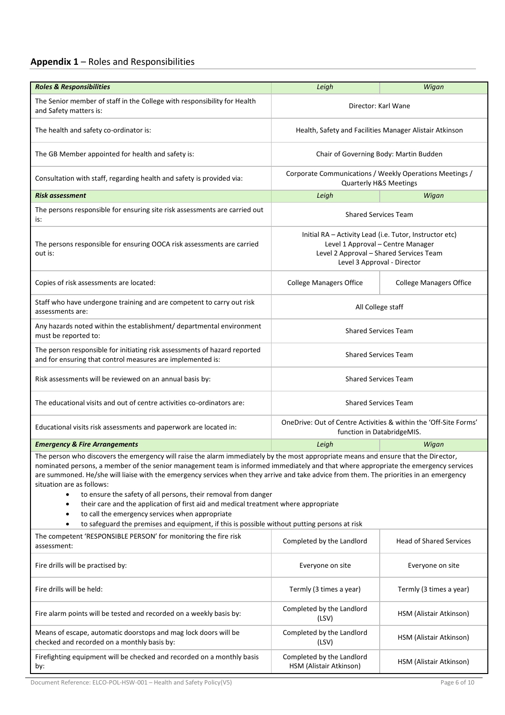# **Appendix 1** – Roles and Responsibilities

| <b>Roles &amp; Responsibilities</b>                                                                                                                                                                                                                                                                                                                                                                                                                                                                                                                                                                                                                                                                                                                                                                                | Leigh                                                                                                                                                                  | Wigan                          |  |  |
|--------------------------------------------------------------------------------------------------------------------------------------------------------------------------------------------------------------------------------------------------------------------------------------------------------------------------------------------------------------------------------------------------------------------------------------------------------------------------------------------------------------------------------------------------------------------------------------------------------------------------------------------------------------------------------------------------------------------------------------------------------------------------------------------------------------------|------------------------------------------------------------------------------------------------------------------------------------------------------------------------|--------------------------------|--|--|
| The Senior member of staff in the College with responsibility for Health<br>and Safety matters is:                                                                                                                                                                                                                                                                                                                                                                                                                                                                                                                                                                                                                                                                                                                 | Director: Karl Wane                                                                                                                                                    |                                |  |  |
| The health and safety co-ordinator is:                                                                                                                                                                                                                                                                                                                                                                                                                                                                                                                                                                                                                                                                                                                                                                             | Health, Safety and Facilities Manager Alistair Atkinson                                                                                                                |                                |  |  |
| The GB Member appointed for health and safety is:                                                                                                                                                                                                                                                                                                                                                                                                                                                                                                                                                                                                                                                                                                                                                                  | Chair of Governing Body: Martin Budden                                                                                                                                 |                                |  |  |
| Consultation with staff, regarding health and safety is provided via:                                                                                                                                                                                                                                                                                                                                                                                                                                                                                                                                                                                                                                                                                                                                              | Corporate Communications / Weekly Operations Meetings /<br><b>Quarterly H&amp;S Meetings</b>                                                                           |                                |  |  |
| <b>Risk assessment</b>                                                                                                                                                                                                                                                                                                                                                                                                                                                                                                                                                                                                                                                                                                                                                                                             | Leigh                                                                                                                                                                  | Wigan                          |  |  |
| The persons responsible for ensuring site risk assessments are carried out<br>is:                                                                                                                                                                                                                                                                                                                                                                                                                                                                                                                                                                                                                                                                                                                                  | <b>Shared Services Team</b>                                                                                                                                            |                                |  |  |
| The persons responsible for ensuring OOCA risk assessments are carried<br>out is:                                                                                                                                                                                                                                                                                                                                                                                                                                                                                                                                                                                                                                                                                                                                  | Initial RA - Activity Lead (i.e. Tutor, Instructor etc)<br>Level 1 Approval - Centre Manager<br>Level 2 Approval - Shared Services Team<br>Level 3 Approval - Director |                                |  |  |
| Copies of risk assessments are located:                                                                                                                                                                                                                                                                                                                                                                                                                                                                                                                                                                                                                                                                                                                                                                            | <b>College Managers Office</b><br><b>College Managers Office</b>                                                                                                       |                                |  |  |
| Staff who have undergone training and are competent to carry out risk<br>assessments are:                                                                                                                                                                                                                                                                                                                                                                                                                                                                                                                                                                                                                                                                                                                          | All College staff                                                                                                                                                      |                                |  |  |
| Any hazards noted within the establishment/ departmental environment<br>must be reported to:                                                                                                                                                                                                                                                                                                                                                                                                                                                                                                                                                                                                                                                                                                                       | <b>Shared Services Team</b>                                                                                                                                            |                                |  |  |
| The person responsible for initiating risk assessments of hazard reported<br>and for ensuring that control measures are implemented is:                                                                                                                                                                                                                                                                                                                                                                                                                                                                                                                                                                                                                                                                            | <b>Shared Services Team</b>                                                                                                                                            |                                |  |  |
| Risk assessments will be reviewed on an annual basis by:                                                                                                                                                                                                                                                                                                                                                                                                                                                                                                                                                                                                                                                                                                                                                           | <b>Shared Services Team</b>                                                                                                                                            |                                |  |  |
| The educational visits and out of centre activities co-ordinators are:                                                                                                                                                                                                                                                                                                                                                                                                                                                                                                                                                                                                                                                                                                                                             | <b>Shared Services Team</b>                                                                                                                                            |                                |  |  |
| Educational visits risk assessments and paperwork are located in:                                                                                                                                                                                                                                                                                                                                                                                                                                                                                                                                                                                                                                                                                                                                                  | OneDrive: Out of Centre Activities & within the 'Off-Site Forms'<br>function in DatabridgeMIS.                                                                         |                                |  |  |
| <b>Emergency &amp; Fire Arrangements</b>                                                                                                                                                                                                                                                                                                                                                                                                                                                                                                                                                                                                                                                                                                                                                                           | Leigh                                                                                                                                                                  | Wigan                          |  |  |
| The person who discovers the emergency will raise the alarm immediately by the most appropriate means and ensure that the Director,<br>nominated persons, a member of the senior management team is informed immediately and that where appropriate the emergency services<br>are summoned. He/she will liaise with the emergency services when they arrive and take advice from them. The priorities in an emergency<br>situation are as follows:<br>to ensure the safety of all persons, their removal from danger<br>$\bullet$<br>their care and the application of first aid and medical treatment where appropriate<br>$\bullet$<br>to call the emergency services when appropriate<br>$\bullet$<br>to safeguard the premises and equipment, if this is possible without putting persons at risk<br>$\bullet$ |                                                                                                                                                                        |                                |  |  |
| The competent 'RESPONSIBLE PERSON' for monitoring the fire risk<br>assessment:                                                                                                                                                                                                                                                                                                                                                                                                                                                                                                                                                                                                                                                                                                                                     | Completed by the Landlord                                                                                                                                              | <b>Head of Shared Services</b> |  |  |
| Fire drills will be practised by:                                                                                                                                                                                                                                                                                                                                                                                                                                                                                                                                                                                                                                                                                                                                                                                  | Everyone on site                                                                                                                                                       | Everyone on site               |  |  |
| Fire drills will be held:                                                                                                                                                                                                                                                                                                                                                                                                                                                                                                                                                                                                                                                                                                                                                                                          | Termly (3 times a year)                                                                                                                                                | Termly (3 times a year)        |  |  |
| Fire alarm points will be tested and recorded on a weekly basis by:                                                                                                                                                                                                                                                                                                                                                                                                                                                                                                                                                                                                                                                                                                                                                | Completed by the Landlord<br>(LSV)                                                                                                                                     | HSM (Alistair Atkinson)        |  |  |
| Means of escape, automatic doorstops and mag lock doors will be<br>checked and recorded on a monthly basis by:                                                                                                                                                                                                                                                                                                                                                                                                                                                                                                                                                                                                                                                                                                     | Completed by the Landlord<br>(LSV)                                                                                                                                     | HSM (Alistair Atkinson)        |  |  |
| Firefighting equipment will be checked and recorded on a monthly basis<br>by:                                                                                                                                                                                                                                                                                                                                                                                                                                                                                                                                                                                                                                                                                                                                      | Completed by the Landlord<br>HSM (Alistair Atkinson)                                                                                                                   | HSM (Alistair Atkinson)        |  |  |
| Document Reference: ELCO-POL-HSW-001 - Health and Safety Policy(V5)                                                                                                                                                                                                                                                                                                                                                                                                                                                                                                                                                                                                                                                                                                                                                |                                                                                                                                                                        | Page 6 of 10                   |  |  |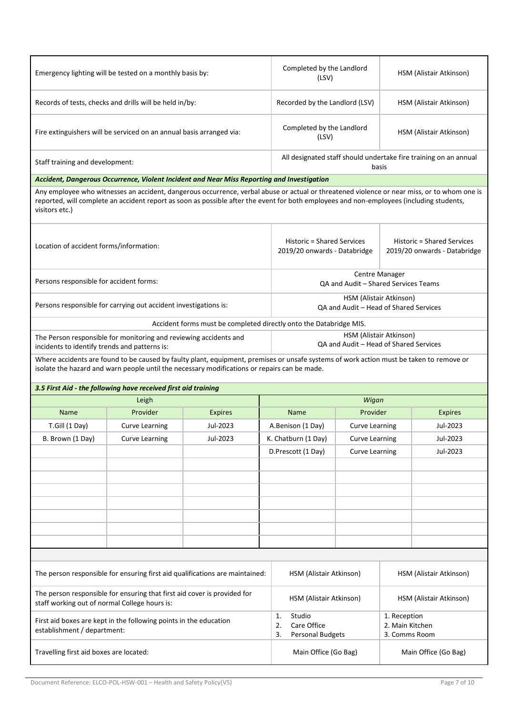| Emergency lighting will be tested on a monthly basis by:                                                                                                                                                                                                                                                  |                                                                |                                                                                                   |                                                                   | Completed by the Landlord<br>(LSV)                                                                                     |                         | HSM (Alistair Atkinson) |                                                            |  |
|-----------------------------------------------------------------------------------------------------------------------------------------------------------------------------------------------------------------------------------------------------------------------------------------------------------|----------------------------------------------------------------|---------------------------------------------------------------------------------------------------|-------------------------------------------------------------------|------------------------------------------------------------------------------------------------------------------------|-------------------------|-------------------------|------------------------------------------------------------|--|
| Records of tests, checks and drills will be held in/by:                                                                                                                                                                                                                                                   |                                                                |                                                                                                   |                                                                   | Recorded by the Landlord (LSV)                                                                                         |                         | HSM (Alistair Atkinson) |                                                            |  |
| Fire extinguishers will be serviced on an annual basis arranged via:                                                                                                                                                                                                                                      |                                                                |                                                                                                   |                                                                   | Completed by the Landlord<br>HSM (Alistair Atkinson)<br>(LSV)                                                          |                         |                         |                                                            |  |
| Staff training and development:                                                                                                                                                                                                                                                                           |                                                                |                                                                                                   |                                                                   | All designated staff should undertake fire training on an annual<br>basis                                              |                         |                         |                                                            |  |
|                                                                                                                                                                                                                                                                                                           |                                                                | <b>Accident, Dangerous Occurrence, Violent Incident and Near Miss Reporting and Investigation</b> |                                                                   |                                                                                                                        |                         |                         |                                                            |  |
| Any employee who witnesses an accident, dangerous occurrence, verbal abuse or actual or threatened violence or near miss, or to whom one is<br>reported, will complete an accident report as soon as possible after the event for both employees and non-employees (including students,<br>visitors etc.) |                                                                |                                                                                                   |                                                                   |                                                                                                                        |                         |                         |                                                            |  |
| Location of accident forms/information:                                                                                                                                                                                                                                                                   |                                                                |                                                                                                   |                                                                   | Historic = Shared Services<br>2019/20 onwards - Databridge                                                             |                         |                         | Historic = Shared Services<br>2019/20 onwards - Databridge |  |
| Persons responsible for accident forms:                                                                                                                                                                                                                                                                   |                                                                |                                                                                                   |                                                                   | Centre Manager<br>QA and Audit - Shared Services Teams                                                                 |                         |                         |                                                            |  |
| Persons responsible for carrying out accident investigations is:                                                                                                                                                                                                                                          |                                                                |                                                                                                   |                                                                   | HSM (Alistair Atkinson)<br>QA and Audit - Head of Shared Services                                                      |                         |                         |                                                            |  |
|                                                                                                                                                                                                                                                                                                           |                                                                | Accident forms must be completed directly onto the Databridge MIS.                                |                                                                   |                                                                                                                        |                         |                         |                                                            |  |
| The Person responsible for monitoring and reviewing accidents and<br>incidents to identify trends and patterns is:                                                                                                                                                                                        |                                                                |                                                                                                   | HSM (Alistair Atkinson)<br>QA and Audit - Head of Shared Services |                                                                                                                        |                         |                         |                                                            |  |
| Where accidents are found to be caused by faulty plant, equipment, premises or unsafe systems of work action must be taken to remove or<br>isolate the hazard and warn people until the necessary modifications or repairs can be made.                                                                   |                                                                |                                                                                                   |                                                                   |                                                                                                                        |                         |                         |                                                            |  |
|                                                                                                                                                                                                                                                                                                           | 3.5 First Aid - the following have received first aid training |                                                                                                   |                                                                   |                                                                                                                        |                         |                         |                                                            |  |
|                                                                                                                                                                                                                                                                                                           | Leigh                                                          |                                                                                                   |                                                                   |                                                                                                                        | Wigan                   |                         |                                                            |  |
| <b>Name</b>                                                                                                                                                                                                                                                                                               | Provider                                                       | <b>Expires</b>                                                                                    | Provider<br><b>Name</b>                                           |                                                                                                                        | <b>Expires</b>          |                         |                                                            |  |
| T.Gill (1 Day)                                                                                                                                                                                                                                                                                            | <b>Curve Learning</b>                                          | Jul-2023                                                                                          | A.Benison (1 Day)<br><b>Curve Learning</b>                        |                                                                                                                        | Jul-2023                |                         |                                                            |  |
| B. Brown (1 Day)                                                                                                                                                                                                                                                                                          | <b>Curve Learning</b>                                          | Jul-2023                                                                                          |                                                                   | K. Chatburn (1 Day)                                                                                                    | <b>Curve Learning</b>   |                         | Jul-2023                                                   |  |
|                                                                                                                                                                                                                                                                                                           |                                                                |                                                                                                   |                                                                   | D.Prescott (1 Day)                                                                                                     | <b>Curve Learning</b>   |                         | Jul-2023                                                   |  |
|                                                                                                                                                                                                                                                                                                           |                                                                |                                                                                                   |                                                                   |                                                                                                                        |                         |                         |                                                            |  |
|                                                                                                                                                                                                                                                                                                           |                                                                |                                                                                                   |                                                                   |                                                                                                                        |                         |                         |                                                            |  |
|                                                                                                                                                                                                                                                                                                           |                                                                |                                                                                                   |                                                                   |                                                                                                                        |                         |                         |                                                            |  |
|                                                                                                                                                                                                                                                                                                           |                                                                |                                                                                                   |                                                                   |                                                                                                                        |                         |                         |                                                            |  |
|                                                                                                                                                                                                                                                                                                           |                                                                |                                                                                                   |                                                                   |                                                                                                                        |                         |                         |                                                            |  |
|                                                                                                                                                                                                                                                                                                           |                                                                |                                                                                                   |                                                                   |                                                                                                                        |                         |                         |                                                            |  |
|                                                                                                                                                                                                                                                                                                           |                                                                |                                                                                                   |                                                                   |                                                                                                                        |                         |                         |                                                            |  |
| The person responsible for ensuring first aid qualifications are maintained:<br>HSM (Alistair Atkinson)<br>HSM (Alistair Atkinson)                                                                                                                                                                        |                                                                |                                                                                                   |                                                                   |                                                                                                                        |                         |                         |                                                            |  |
| The person responsible for ensuring that first aid cover is provided for<br>staff working out of normal College hours is:                                                                                                                                                                                 |                                                                |                                                                                                   | HSM (Alistair Atkinson)                                           |                                                                                                                        | HSM (Alistair Atkinson) |                         |                                                            |  |
| First aid boxes are kept in the following points in the education<br>establishment / department:                                                                                                                                                                                                          |                                                                |                                                                                                   |                                                                   | Studio<br>1. Reception<br>1.<br>Care Office<br>2. Main Kitchen<br>2.<br>3.<br><b>Personal Budgets</b><br>3. Comms Room |                         |                         |                                                            |  |
| Travelling first aid boxes are located:                                                                                                                                                                                                                                                                   |                                                                |                                                                                                   |                                                                   | Main Office (Go Bag)<br>Main Office (Go Bag)                                                                           |                         |                         |                                                            |  |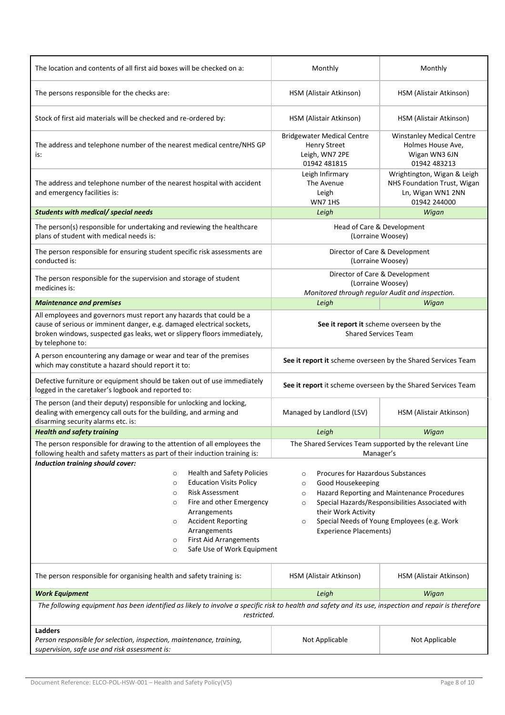| The location and contents of all first aid boxes will be checked on a:                                                                                                                                                                                                                                                                                          | Monthly                                                                                                                                                                                                                                                                                                                        | Monthly                                                                                         |  |
|-----------------------------------------------------------------------------------------------------------------------------------------------------------------------------------------------------------------------------------------------------------------------------------------------------------------------------------------------------------------|--------------------------------------------------------------------------------------------------------------------------------------------------------------------------------------------------------------------------------------------------------------------------------------------------------------------------------|-------------------------------------------------------------------------------------------------|--|
| The persons responsible for the checks are:                                                                                                                                                                                                                                                                                                                     | HSM (Alistair Atkinson)                                                                                                                                                                                                                                                                                                        | HSM (Alistair Atkinson)                                                                         |  |
| Stock of first aid materials will be checked and re-ordered by:                                                                                                                                                                                                                                                                                                 | HSM (Alistair Atkinson)                                                                                                                                                                                                                                                                                                        | HSM (Alistair Atkinson)                                                                         |  |
| The address and telephone number of the nearest medical centre/NHS GP<br>is:                                                                                                                                                                                                                                                                                    | <b>Bridgewater Medical Centre</b><br><b>Henry Street</b><br>Leigh, WN7 2PE<br>01942 481815                                                                                                                                                                                                                                     | <b>Winstanley Medical Centre</b><br>Holmes House Ave,<br>Wigan WN3 6JN<br>01942 483213          |  |
| The address and telephone number of the nearest hospital with accident<br>and emergency facilities is:                                                                                                                                                                                                                                                          | Leigh Infirmary<br>The Avenue<br>Leigh<br>WN71HS                                                                                                                                                                                                                                                                               | Wrightington, Wigan & Leigh<br>NHS Foundation Trust, Wigan<br>Ln, Wigan WN1 2NN<br>01942 244000 |  |
| <b>Students with medical/ special needs</b>                                                                                                                                                                                                                                                                                                                     | Leigh                                                                                                                                                                                                                                                                                                                          | Wigan                                                                                           |  |
| The person(s) responsible for undertaking and reviewing the healthcare<br>plans of student with medical needs is:                                                                                                                                                                                                                                               | Head of Care & Development<br>(Lorraine Woosey)                                                                                                                                                                                                                                                                                |                                                                                                 |  |
| The person responsible for ensuring student specific risk assessments are<br>conducted is:                                                                                                                                                                                                                                                                      | Director of Care & Development<br>(Lorraine Woosey)                                                                                                                                                                                                                                                                            |                                                                                                 |  |
| The person responsible for the supervision and storage of student<br>medicines is:                                                                                                                                                                                                                                                                              | Director of Care & Development<br>(Lorraine Woosey)<br>Monitored through regular Audit and inspection.                                                                                                                                                                                                                         |                                                                                                 |  |
| <b>Maintenance and premises</b>                                                                                                                                                                                                                                                                                                                                 | Leigh                                                                                                                                                                                                                                                                                                                          | Wigan                                                                                           |  |
| All employees and governors must report any hazards that could be a<br>cause of serious or imminent danger, e.g. damaged electrical sockets,<br>broken windows, suspected gas leaks, wet or slippery floors immediately,<br>by telephone to:                                                                                                                    | See it report it scheme overseen by the<br><b>Shared Services Team</b>                                                                                                                                                                                                                                                         |                                                                                                 |  |
| A person encountering any damage or wear and tear of the premises<br>which may constitute a hazard should report it to:                                                                                                                                                                                                                                         | See it report it scheme overseen by the Shared Services Team                                                                                                                                                                                                                                                                   |                                                                                                 |  |
| Defective furniture or equipment should be taken out of use immediately<br>logged in the caretaker's logbook and reported to:                                                                                                                                                                                                                                   | See it report it scheme overseen by the Shared Services Team                                                                                                                                                                                                                                                                   |                                                                                                 |  |
| The person (and their deputy) responsible for unlocking and locking,<br>dealing with emergency call outs for the building, and arming and<br>disarming security alarms etc. is:                                                                                                                                                                                 | Managed by Landlord (LSV)                                                                                                                                                                                                                                                                                                      | HSM (Alistair Atkinson)                                                                         |  |
| <b>Health and safety training</b>                                                                                                                                                                                                                                                                                                                               | Leigh                                                                                                                                                                                                                                                                                                                          | Wigan                                                                                           |  |
| The person responsible for drawing to the attention of all employees the<br>following health and safety matters as part of their induction training is:                                                                                                                                                                                                         | The Shared Services Team supported by the relevant Line<br>Manager's                                                                                                                                                                                                                                                           |                                                                                                 |  |
| Induction training should cover:<br>Health and Safety Policies<br>$\circ$<br><b>Education Visits Policy</b><br>$\circ$<br><b>Risk Assessment</b><br>$\circ$<br>Fire and other Emergency<br>$\circ$<br>Arrangements<br><b>Accident Reporting</b><br>$\circ$<br>Arrangements<br><b>First Aid Arrangements</b><br>$\circ$<br>Safe Use of Work Equipment<br>$\circ$ | <b>Procures for Hazardous Substances</b><br>$\circ$<br>Good Housekeeping<br>$\circ$<br>Hazard Reporting and Maintenance Procedures<br>$\circ$<br>Special Hazards/Responsibilities Associated with<br>$\circ$<br>their Work Activity<br>Special Needs of Young Employees (e.g. Work<br>$\circ$<br><b>Experience Placements)</b> |                                                                                                 |  |
| The person responsible for organising health and safety training is:                                                                                                                                                                                                                                                                                            | HSM (Alistair Atkinson)                                                                                                                                                                                                                                                                                                        | HSM (Alistair Atkinson)                                                                         |  |
| <b>Work Equipment</b>                                                                                                                                                                                                                                                                                                                                           | Leigh                                                                                                                                                                                                                                                                                                                          | Wigan                                                                                           |  |
| The following equipment has been identified as likely to involve a specific risk to health and safety and its use, inspection and repair is therefore<br>restricted.                                                                                                                                                                                            |                                                                                                                                                                                                                                                                                                                                |                                                                                                 |  |
| <b>Ladders</b><br>Person responsible for selection, inspection, maintenance, training,<br>supervision, safe use and risk assessment is:                                                                                                                                                                                                                         | Not Applicable                                                                                                                                                                                                                                                                                                                 | Not Applicable                                                                                  |  |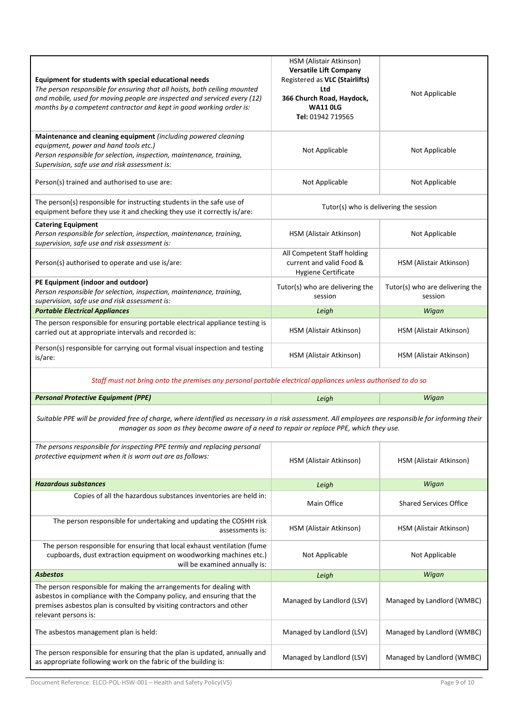| Equipment for students with special educational needs<br>The person responsible for ensuring that all hoists, both ceiling mounted<br>and mobile, used for moving people are inspected and serviced every (12)<br>months by a competent contractor and kept in good working order is: | HSM (Alistair Atkinson)<br><b>Versatile Lift Company</b><br>Registered as VLC (Stairlifts)<br>Ltd<br>366 Church Road, Haydock,<br><b>WA11 0LG</b><br>Tel: 01942 719565 | Not Applicable                             |  |  |  |
|---------------------------------------------------------------------------------------------------------------------------------------------------------------------------------------------------------------------------------------------------------------------------------------|------------------------------------------------------------------------------------------------------------------------------------------------------------------------|--------------------------------------------|--|--|--|
| Maintenance and cleaning equipment (including powered cleaning<br>equipment, power and hand tools etc.)<br>Person responsible for selection, inspection, maintenance, training,<br>Supervision, safe use and risk assessment is:                                                      | Not Applicable                                                                                                                                                         | Not Applicable                             |  |  |  |
| Person(s) trained and authorised to use are:                                                                                                                                                                                                                                          | Not Applicable                                                                                                                                                         | Not Applicable                             |  |  |  |
| The person(s) responsible for instructing students in the safe use of<br>equipment before they use it and checking they use it correctly is/are:                                                                                                                                      | Tutor(s) who is delivering the session                                                                                                                                 |                                            |  |  |  |
| <b>Catering Equipment</b><br>Person responsible for selection, inspection, maintenance, training,<br>supervision, safe use and risk assessment is:                                                                                                                                    | HSM (Alistair Atkinson)                                                                                                                                                | Not Applicable                             |  |  |  |
| Person(s) authorised to operate and use is/are:                                                                                                                                                                                                                                       | All Competent Staff holding<br>current and valid Food &<br><b>Hygiene Certificate</b>                                                                                  | HSM (Alistair Atkinson)                    |  |  |  |
| PE Equipment (indoor and outdoor)<br>Person responsible for selection, inspection, maintenance, training,<br>supervision, safe use and risk assessment is:                                                                                                                            | Tutor(s) who are delivering the<br>session                                                                                                                             | Tutor(s) who are delivering the<br>session |  |  |  |
| <b>Portable Electrical Appliances</b>                                                                                                                                                                                                                                                 | Leigh                                                                                                                                                                  | Wigan                                      |  |  |  |
| The person responsible for ensuring portable electrical appliance testing is<br>carried out at appropriate intervals and recorded is:                                                                                                                                                 | HSM (Alistair Atkinson)                                                                                                                                                | HSM (Alistair Atkinson)                    |  |  |  |
| Person(s) responsible for carrying out formal visual inspection and testing<br>is/are:                                                                                                                                                                                                | HSM (Alistair Atkinson)                                                                                                                                                | HSM (Alistair Atkinson)                    |  |  |  |
| Staff must not bring onto the premises any personal portable electrical appliances unless authorised to do so                                                                                                                                                                         |                                                                                                                                                                        |                                            |  |  |  |
| <b>Personal Protective Equipment (PPE)</b>                                                                                                                                                                                                                                            | Leigh                                                                                                                                                                  | Wigan                                      |  |  |  |
| Suitable PPE will be provided free of charge, where identified as necessary in a risk assessment. All employees are responsible for informing their<br>manager as soon as they become aware of a need to repair or replace PPE, which they use.                                       |                                                                                                                                                                        |                                            |  |  |  |
| The persons responsible for inspecting PPE termly and replacing personal<br>protective equipment when it is worn out are as follows:                                                                                                                                                  | HSM (Alistair Atkinson)                                                                                                                                                | HSM (Alistair Atkinson)                    |  |  |  |
| <b>Hazardous substances</b>                                                                                                                                                                                                                                                           | Leigh                                                                                                                                                                  | Wigan                                      |  |  |  |
| Copies of all the hazardous substances inventories are held in:                                                                                                                                                                                                                       | Main Office                                                                                                                                                            | <b>Shared Services Office</b>              |  |  |  |
| The person responsible for undertaking and updating the COSHH risk<br>assessments is:                                                                                                                                                                                                 | HSM (Alistair Atkinson)                                                                                                                                                | HSM (Alistair Atkinson)                    |  |  |  |
| The person responsible for ensuring that local exhaust ventilation (fume<br>cupboards, dust extraction equipment on woodworking machines etc.)<br>will be examined annually is:                                                                                                       | Not Applicable                                                                                                                                                         | Not Applicable                             |  |  |  |
| <b>Asbestos</b>                                                                                                                                                                                                                                                                       | Leigh                                                                                                                                                                  | Wigan                                      |  |  |  |
| The person responsible for making the arrangements for dealing with<br>asbestos in compliance with the Company policy, and ensuring that the<br>premises asbestos plan is consulted by visiting contractors and other<br>relevant persons is:                                         | Managed by Landlord (LSV)                                                                                                                                              | Managed by Landlord (WMBC)                 |  |  |  |
| The asbestos management plan is held:                                                                                                                                                                                                                                                 | Managed by Landlord (LSV)                                                                                                                                              | Managed by Landlord (WMBC)                 |  |  |  |
| The person responsible for ensuring that the plan is updated, annually and<br>as appropriate following work on the fabric of the building is:                                                                                                                                         | Managed by Landlord (LSV)                                                                                                                                              | Managed by Landlord (WMBC)                 |  |  |  |